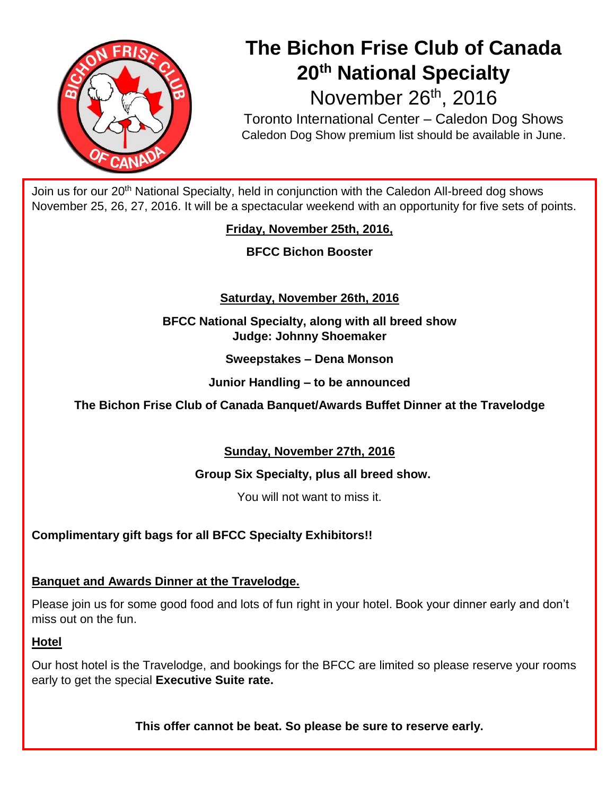

# **The Bichon Frise Club of Canada 20th National Specialty** November 26<sup>th</sup>, 2016

Toronto International Center – Caledon Dog Shows Caledon Dog Show premium list should be available in June.

Join us for our 20<sup>th</sup> National Specialty, held in conjunction with the Caledon All-breed dog shows November 25, 26, 27, 2016. It will be a spectacular weekend with an opportunity for five sets of points.

**Friday, November 25th, 2016,**

**BFCC Bichon Booster**

# **Saturday, November 26th, 2016**

**BFCC National Specialty, along with all breed show Judge: Johnny Shoemaker**

**Sweepstakes – Dena Monson**

**Junior Handling – to be announced**

**The Bichon Frise Club of Canada Banquet/Awards Buffet Dinner at the Travelodge**

# **Sunday, November 27th, 2016**

## **Group Six Specialty, plus all breed show.**

You will not want to miss it.

# **Complimentary gift bags for all BFCC Specialty Exhibitors!!**

## **Banquet and Awards Dinner at the Travelodge.**

Please join us for some good food and lots of fun right in your hotel. Book your dinner early and don't miss out on the fun.

### **Hotel**

Our host hotel is the Travelodge, and bookings for the BFCC are limited so please reserve your rooms early to get the special **Executive Suite rate.** 

**This offer cannot be beat. So please be sure to reserve early.**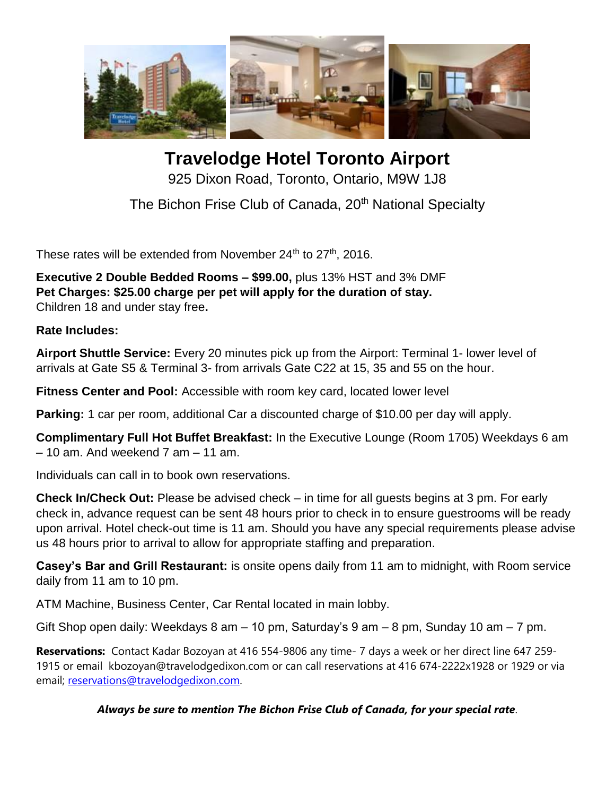

**Travelodge Hotel Toronto Airport** 925 Dixon Road, Toronto, Ontario, M9W 1J8

The Bichon Frise Club of Canada, 20<sup>th</sup> National Specialty

These rates will be extended from November  $24<sup>th</sup>$  to  $27<sup>th</sup>$ , 2016.

**Executive 2 Double Bedded Rooms – \$99.00,** plus 13% HST and 3% DMF **Pet Charges: \$25.00 charge per pet will apply for the duration of stay.** Children 18 and under stay free**.** 

**Rate Includes:**

**Airport Shuttle Service:** Every 20 minutes pick up from the Airport: Terminal 1- lower level of arrivals at Gate S5 & Terminal 3- from arrivals Gate C22 at 15, 35 and 55 on the hour.

**Fitness Center and Pool:** Accessible with room key card, located lower level

**Parking:** 1 car per room, additional Car a discounted charge of \$10.00 per day will apply.

**Complimentary Full Hot Buffet Breakfast:** In the Executive Lounge (Room 1705) Weekdays 6 am  $-10$  am. And weekend  $7$  am  $-11$  am.

Individuals can call in to book own reservations.

**Check In/Check Out:** Please be advised check – in time for all guests begins at 3 pm. For early check in, advance request can be sent 48 hours prior to check in to ensure guestrooms will be ready upon arrival. Hotel check-out time is 11 am. Should you have any special requirements please advise us 48 hours prior to arrival to allow for appropriate staffing and preparation.

**Casey's Bar and Grill Restaurant:** is onsite opens daily from 11 am to midnight, with Room service daily from 11 am to 10 pm.

ATM Machine, Business Center, Car Rental located in main lobby.

Gift Shop open daily: Weekdays 8 am – 10 pm, Saturday's 9 am – 8 pm, Sunday 10 am – 7 pm.

**Reservations:** Contact Kadar Bozoyan at 416 554-9806 any time- 7 days a week or her direct line 647 259- 1915 or email kbozoyan@travelodgedixon.com or can call reservations at 416 674-2222x1928 or 1929 or via email; [reservations@travelodgedixon.com.](mailto:reservations@travelodgedixon.com)

## *Always be sure to mention The Bichon Frise Club of Canada, for your special rate*.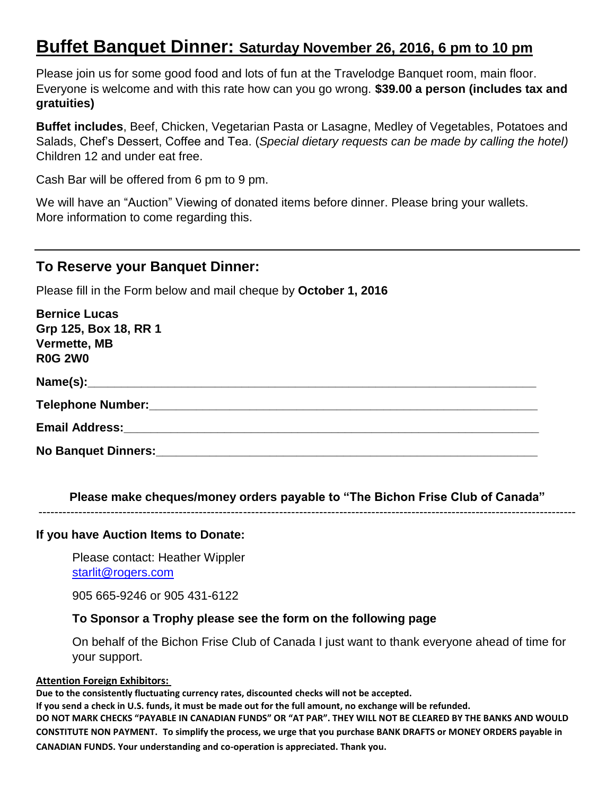# **Buffet Banquet Dinner: Saturday November 26, 2016, 6 pm to 10 pm**

Please join us for some good food and lots of fun at the Travelodge Banquet room, main floor. Everyone is welcome and with this rate how can you go wrong. **\$39.00 a person (includes tax and gratuities)**

**Buffet includes**, Beef, Chicken, Vegetarian Pasta or Lasagne, Medley of Vegetables, Potatoes and Salads, Chef's Dessert, Coffee and Tea. (*Special dietary requests can be made by calling the hotel)* Children 12 and under eat free.

Cash Bar will be offered from 6 pm to 9 pm.

We will have an "Auction" Viewing of donated items before dinner. Please bring your wallets. More information to come regarding this.

# **To Reserve your Banquet Dinner:**

Please fill in the Form below and mail cheque by **October 1, 2016**

| <b>Bernice Lucas</b>                                                                                          |
|---------------------------------------------------------------------------------------------------------------|
| Grp 125, Box 18, RR 1                                                                                         |
| Vermette, MB                                                                                                  |
| <b>R0G 2W0</b>                                                                                                |
|                                                                                                               |
|                                                                                                               |
|                                                                                                               |
| No Banquet Dinners: Maria Maria Maria Maria Maria Maria Maria Maria Maria Maria Maria Maria Maria Maria Maria |

**Please make cheques/money orders payable to "The Bichon Frise Club of Canada"** --------------------------------------------------------------------------------------------------------------------------------------

#### **If you have Auction Items to Donate:**

Please contact: Heather Wippler [starlit@rogers.com](mailto:starlit@rogers.com)

905 665-9246 or 905 431-6122

### **To Sponsor a Trophy please see the form on the following page**

On behalf of the Bichon Frise Club of Canada I just want to thank everyone ahead of time for your support.

#### **Attention Foreign Exhibitors:**

**Due to the consistently fluctuating currency rates, discounted checks will not be accepted.**

**If you send a check in U.S. funds, it must be made out for the full amount, no exchange will be refunded. DO NOT MARK CHECKS "PAYABLE IN CANADIAN FUNDS" OR "AT PAR". THEY WILL NOT BE CLEARED BY THE BANKS AND WOULD CONSTITUTE NON PAYMENT. To simplify the process, we urge that you purchase BANK DRAFTS or MONEY ORDERS payable in CANADIAN FUNDS. Your understanding and co-operation is appreciated. Thank you.**